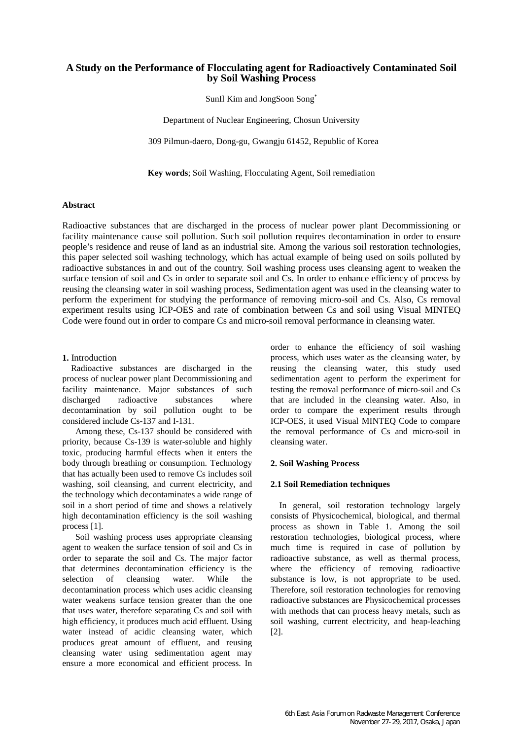# **A Study on the Performance of Flocculating agent for Radioactively Contaminated Soil by Soil Washing Process**

SunIl Kim and JongSoon Song\*

Department of Nuclear Engineering, Chosun University

309 Pilmun-daero, Dong-gu, Gwangju 61452, Republic of Korea

**Key words**; Soil Washing, Flocculating Agent, Soil remediation

### **Abstract**

Radioactive substances that are discharged in the process of nuclear power plant Decommissioning or facility maintenance cause soil pollution. Such soil pollution requires decontamination in order to ensure people's residence and reuse of land as an industrial site. Among the various soil restoration technologies, this paper selected soil washing technology, which has actual example of being used on soils polluted by radioactive substances in and out of the country. Soil washing process uses cleansing agent to weaken the surface tension of soil and Cs in order to separate soil and Cs. In order to enhance efficiency of process by reusing the cleansing water in soil washing process, Sedimentation agent was used in the cleansing water to perform the experiment for studying the performance of removing micro-soil and Cs. Also, Cs removal experiment results using ICP-OES and rate of combination between Cs and soil using Visual MINTEQ Code were found out in order to compare Cs and micro-soil removal performance in cleansing water.

## **1.** Introduction

Radioactive substances are discharged in the process of nuclear power plant Decommissioning and facility maintenance. Major substances of such discharged radioactive substances where decontamination by soil pollution ought to be considered include Cs-137 and I-131.

Among these, Cs-137 should be considered with priority, because Cs-139 is water-soluble and highly toxic, producing harmful effects when it enters the body through breathing or consumption. Technology that has actually been used to remove Cs includes soil washing, soil cleansing, and current electricity, and the technology which decontaminates a wide range of soil in a short period of time and shows a relatively high decontamination efficiency is the soil washing process [1].

Soil washing process uses appropriate cleansing agent to weaken the surface tension of soil and Cs in order to separate the soil and Cs. The major factor that determines decontamination efficiency is the selection of cleansing water. While the decontamination process which uses acidic cleansing water weakens surface tension greater than the one that uses water, therefore separating Cs and soil with high efficiency, it produces much acid effluent. Using water instead of acidic cleansing water, which produces great amount of effluent, and reusing cleansing water using sedimentation agent may ensure a more economical and efficient process. In order to enhance the efficiency of soil washing process, which uses water as the cleansing water, by reusing the cleansing water, this study used sedimentation agent to perform the experiment for testing the removal performance of micro-soil and Cs that are included in the cleansing water. Also, in order to compare the experiment results through ICP-OES, it used Visual MINTEQ Code to compare the removal performance of Cs and micro-soil in cleansing water.

#### **2. Soil Washing Process**

#### **2.1 Soil Remediation techniques**

In general, soil restoration technology largely consists of Physicochemical, biological, and thermal process as shown in Table 1. Among the soil restoration technologies, biological process, where much time is required in case of pollution by radioactive substance, as well as thermal process, where the efficiency of removing radioactive substance is low, is not appropriate to be used. Therefore, soil restoration technologies for removing radioactive substances are Physicochemical processes with methods that can process heavy metals, such as soil washing, current electricity, and heap-leaching [2].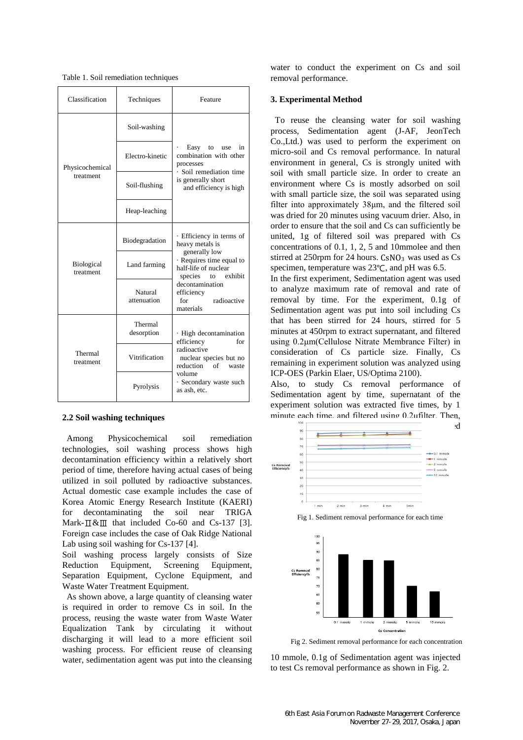| Classification                 | Techniques             | Feature                                                                                    |  |
|--------------------------------|------------------------|--------------------------------------------------------------------------------------------|--|
| Physicochemical<br>treatment   | Soil-washing           |                                                                                            |  |
|                                | Electro-kinetic        | Easy<br>to<br>use<br>in<br>combination with other<br>processes                             |  |
|                                | Soil-flushing          | · Soil remediation time<br>is generally short<br>and efficiency is high                    |  |
|                                | Heap-leaching          |                                                                                            |  |
| <b>Biological</b><br>treatment | Biodegradation         | · Efficiency in terms of<br>heavy metals is                                                |  |
|                                | Land farming           | generally low<br>· Requires time equal to<br>half-life of nuclear<br>exhibit<br>species to |  |
|                                | Natural<br>attenuation | decontamination<br>efficiency<br>radioactive<br>for<br>materials                           |  |
| Thermal<br>treatment           | Thermal<br>desorption  | · High decontamination<br>efficiency<br>for                                                |  |
|                                | Vitrification          | radioactive<br>nuclear species but no<br>reduction<br>of<br>waste                          |  |
|                                | Pyrolysis              | volume<br>· Secondary waste such<br>as ash, etc.                                           |  |

Table 1. Soil remediation techniques

## **2.2 Soil washing techniques**

Among Physicochemical soil remediation technologies, soil washing process shows high decontamination efficiency within a relatively short period of time, therefore having actual cases of being utilized in soil polluted by radioactive substances. Actual domestic case example includes the case of Korea Atomic Energy Research Institute (KAERI) for decontaminating the soil near TRIGA Mark- $\text{I} \& \text{II}$  that included Co-60 and Cs-137 [3]. Foreign case includes the case of Oak Ridge National Lab using soil washing for Cs-137 [4].

Soil washing process largely consists of Size Reduction Equipment, Screening Equipment, Separation Equipment, Cyclone Equipment, and Waste Water Treatment Equipment.

As shown above, a large quantity of cleansing water is required in order to remove Cs in soil. In the process, reusing the waste water from Waste Water Equalization Tank by circulating it without discharging it will lead to a more efficient soil washing process. For efficient reuse of cleansing water, sedimentation agent was put into the cleansing water to conduct the experiment on Cs and soil removal performance.

### **3. Experimental Method**

To reuse the cleansing water for soil washing process, Sedimentation agent (J-AF, JeonTech Co.,Ltd.) was used to perform the experiment on micro-soil and Cs removal performance. In natural environment in general, Cs is strongly united with soil with small particle size. In order to create an environment where Cs is mostly adsorbed on soil with small particle size, the soil was separated using filter into approximately 38μm, and the filtered soil was dried for 20 minutes using vacuum drier. Also, in order to ensure that the soil and Cs can sufficiently be united, 1g of filtered soil was prepared with Cs concentrations of 0.1, 1, 2, 5 and 10mmolee and then stirred at 250rpm for 24 hours. CsNO<sub>3</sub> was used as Cs specimen, temperature was 23℃, and pH was 6.5.

In the first experiment, Sedimentation agent was used to analyze maximum rate of removal and rate of removal by time. For the experiment, 0.1g of Sedimentation agent was put into soil including Cs that has been stirred for 24 hours, stirred for 5 minutes at 450rpm to extract supernatant, and filtered using 0.2μm(Cellulose Nitrate Membrance Filter) in consideration of Cs particle size. Finally, Cs remaining in experiment solution was analyzed using ICP-OES (Parkin Elaer, US/Optima 2100).

Also, to study Cs removal performance of Sedimentation agent by time, supernatant of the experiment solution was extracted five times, by 1 minute each time, and filtered using 0.2μfilter. Then,



Fig 1. Sediment removal performance for each time



Fig 2. Sediment removal performance for each concentration

10 mmole, 0.1g of Sedimentation agent was injected to test Cs removal performance as shown in Fig. 2.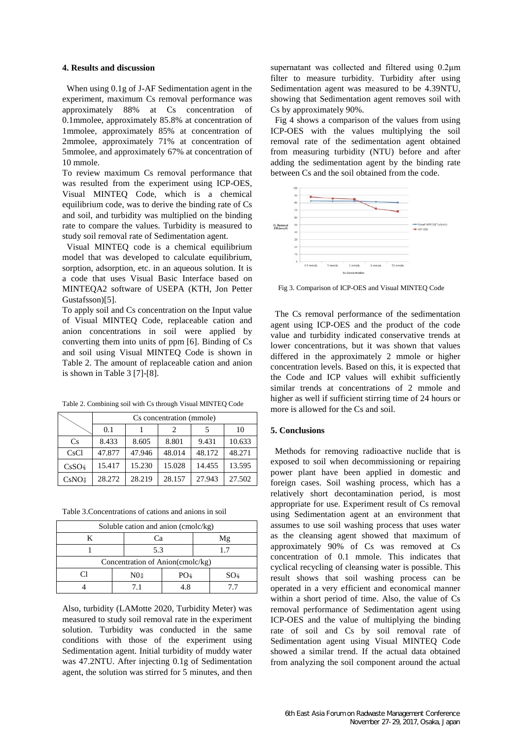### **4. Results and discussion**

When using 0.1g of J-AF Sedimentation agent in the experiment, maximum Cs removal performance was<br>approximately 88% at Cs concentration of 88% at Cs concentration of 0.1mmolee, approximately 85.8% at concentration of 1mmolee, approximately 85% at concentration of 2mmolee, approximately 71% at concentration of 5mmolee, and approximately 67% at concentration of 10 mmole.

To review maximum Cs removal performance that was resulted from the experiment using ICP-OES, Visual MINTEQ Code, which is a chemical equilibrium code, was to derive the binding rate of Cs and soil, and turbidity was multiplied on the binding rate to compare the values. Turbidity is measured to study soil removal rate of Sedimentation agent.

Visual MINTEQ code is a chemical equilibrium model that was developed to calculate equilibrium, sorption, adsorption, etc. in an aqueous solution. It is a code that uses Visual Basic Interface based on MINTEQA2 software of USEPA (KTH, Jon Petter Gustafsson)[5].

To apply soil and Cs concentration on the Input value of Visual MINTEQ Code, replaceable cation and anion concentrations in soil were applied by converting them into units of ppm [6]. Binding of Cs and soil using Visual MINTEQ Code is shown in Table 2. The amount of replaceable cation and anion is shown in Table 3 [7]-[8].

Table 2. Combining soil with Cs through Visual MINTEQ Code

|                   | Cs concentration (mmole) |        |        |        |        |  |  |
|-------------------|--------------------------|--------|--------|--------|--------|--|--|
|                   | 0.1                      |        | 2      | 5      | 10     |  |  |
| C <sub>s</sub>    | 8.433                    | 8.605  | 8.801  | 9.431  | 10.633 |  |  |
| CsCl              | 47.877                   | 47.946 | 48.014 | 48.172 | 48.271 |  |  |
| CsSO <sub>2</sub> | 15.417                   | 15.230 | 15.028 | 14.455 | 13.595 |  |  |
| CsNO <sub>3</sub> | 28.272                   | 28.219 | 28.157 | 27.943 | 27.502 |  |  |

Table 3.Concentrations of cations and anions in soil

| Soluble cation and anion (cmolc/kg) |  |                 |                 |    |                 |  |  |
|-------------------------------------|--|-----------------|-----------------|----|-----------------|--|--|
| K                                   |  | Сa              |                 | Μg |                 |  |  |
|                                     |  | 5.3             |                 |    |                 |  |  |
| Concentration of Anion(cmolc/kg)    |  |                 |                 |    |                 |  |  |
|                                     |  | N0 <sub>3</sub> | PO <sub>1</sub> |    | SO <sub>2</sub> |  |  |
|                                     |  | 71              | 18              |    | 77              |  |  |

Also, turbidity (LAMotte 2020, Turbidity Meter) was measured to study soil removal rate in the experiment solution. Turbidity was conducted in the same conditions with those of the experiment using Sedimentation agent. Initial turbidity of muddy water was 47.2NTU. After injecting 0.1g of Sedimentation agent, the solution was stirred for 5 minutes, and then supernatant was collected and filtered using 0.2μm filter to measure turbidity. Turbidity after using Sedimentation agent was measured to be 4.39NTU, showing that Sedimentation agent removes soil with Cs by approximately 90%.

Fig 4 shows a comparison of the values from using ICP-OES with the values multiplying the soil removal rate of the sedimentation agent obtained from measuring turbidity (NTU) before and after adding the sedimentation agent by the binding rate between Cs and the soil obtained from the code.



Fig 3. Comparison of ICP-OES and Visual MINTEQ Code

The Cs removal performance of the sedimentation agent using ICP-OES and the product of the code value and turbidity indicated conservative trends at lower concentrations, but it was shown that values differed in the approximately 2 mmole or higher concentration levels. Based on this, it is expected that the Code and ICP values will exhibit sufficiently similar trends at concentrations of 2 mmole and higher as well if sufficient stirring time of 24 hours or more is allowed for the Cs and soil.

# **5. Conclusions**

Methods for removing radioactive nuclide that is exposed to soil when decommissioning or repairing power plant have been applied in domestic and foreign cases. Soil washing process, which has a relatively short decontamination period, is most appropriate for use. Experiment result of Cs removal using Sedimentation agent at an environment that assumes to use soil washing process that uses water as the cleansing agent showed that maximum of approximately 90% of Cs was removed at Cs concentration of 0.1 mmole. This indicates that cyclical recycling of cleansing water is possible. This result shows that soil washing process can be operated in a very efficient and economical manner within a short period of time. Also, the value of Cs removal performance of Sedimentation agent using ICP-OES and the value of multiplying the binding rate of soil and Cs by soil removal rate of Sedimentation agent using Visual MINTEO Code showed a similar trend. If the actual data obtained from analyzing the soil component around the actual